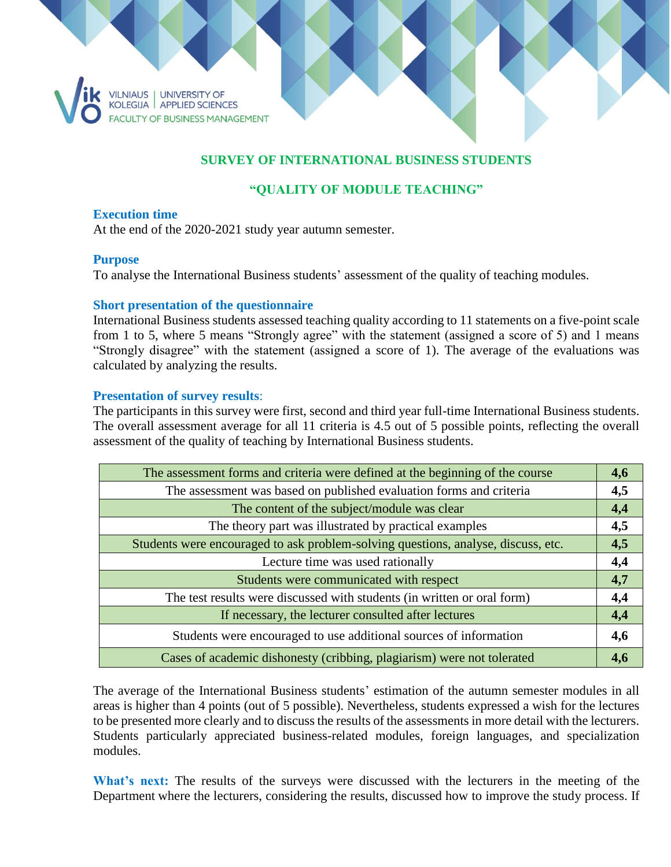

# **SURVEY OF INTERNATIONAL BUSINESS STUDENTS**

## **"QUALITY OF MODULE TEACHING"**

### **Execution time**

At the end of the 2020-2021 study year autumn semester.

### **Purpose**

To analyse the International Business students' assessment of the quality of teaching modules.

### **Short presentation of the questionnaire**

International Business students assessed teaching quality according to 11 statements on a five-point scale from 1 to 5, where 5 means "Strongly agree" with the statement (assigned a score of 5) and 1 means "Strongly disagree" with the statement (assigned a score of 1). The average of the evaluations was calculated by analyzing the results.

### **Presentation of survey results**:

The participants in this survey were first, second and third year full-time International Business students. The overall assessment average for all 11 criteria is 4.5 out of 5 possible points, reflecting the overall assessment of the quality of teaching by International Business students.

| The assessment forms and criteria were defined at the beginning of the course     | 4,6 |
|-----------------------------------------------------------------------------------|-----|
| The assessment was based on published evaluation forms and criteria               | 4,5 |
| The content of the subject/module was clear                                       | 4,4 |
| The theory part was illustrated by practical examples                             | 4,5 |
| Students were encouraged to ask problem-solving questions, analyse, discuss, etc. | 4,5 |
| Lecture time was used rationally                                                  | 4,4 |
| Students were communicated with respect                                           | 4,7 |
| The test results were discussed with students (in written or oral form)           | 4,4 |
| If necessary, the lecturer consulted after lectures                               | 4,4 |
| Students were encouraged to use additional sources of information                 | 4,6 |
| Cases of academic dishonesty (cribbing, plagiarism) were not tolerated            | 4,6 |

The average of the International Business students' estimation of the autumn semester modules in all areas is higher than 4 points (out of 5 possible). Nevertheless, students expressed a wish for the lectures to be presented more clearly and to discuss the results of the assessments in more detail with the lecturers. Students particularly appreciated business-related modules, foreign languages, and specialization modules.

What's next: The results of the surveys were discussed with the lecturers in the meeting of the Department where the lecturers, considering the results, discussed how to improve the study process. If